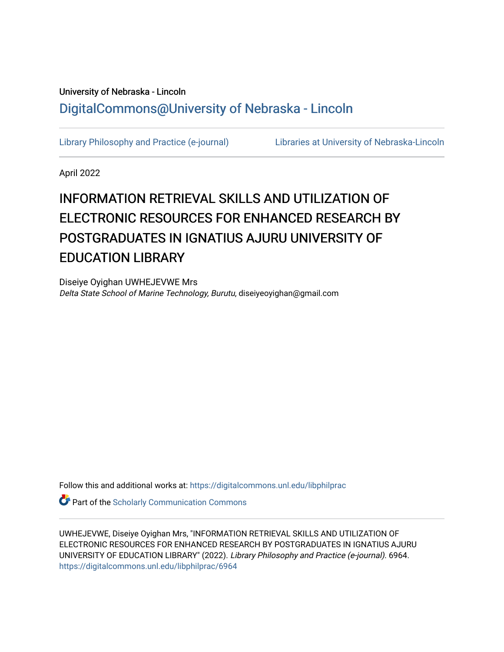# University of Nebraska - Lincoln [DigitalCommons@University of Nebraska - Lincoln](https://digitalcommons.unl.edu/)

[Library Philosophy and Practice \(e-journal\)](https://digitalcommons.unl.edu/libphilprac) [Libraries at University of Nebraska-Lincoln](https://digitalcommons.unl.edu/libraries) 

April 2022

# INFORMATION RETRIEVAL SKILLS AND UTILIZATION OF ELECTRONIC RESOURCES FOR ENHANCED RESEARCH BY POSTGRADUATES IN IGNATIUS AJURU UNIVERSITY OF EDUCATION LIBRARY

Diseiye Oyighan UWHEJEVWE Mrs Delta State School of Marine Technology, Burutu, diseiyeoyighan@gmail.com

Follow this and additional works at: [https://digitalcommons.unl.edu/libphilprac](https://digitalcommons.unl.edu/libphilprac?utm_source=digitalcommons.unl.edu%2Flibphilprac%2F6964&utm_medium=PDF&utm_campaign=PDFCoverPages) 

**Part of the Scholarly Communication Commons** 

UWHEJEVWE, Diseiye Oyighan Mrs, "INFORMATION RETRIEVAL SKILLS AND UTILIZATION OF ELECTRONIC RESOURCES FOR ENHANCED RESEARCH BY POSTGRADUATES IN IGNATIUS AJURU UNIVERSITY OF EDUCATION LIBRARY" (2022). Library Philosophy and Practice (e-journal). 6964. [https://digitalcommons.unl.edu/libphilprac/6964](https://digitalcommons.unl.edu/libphilprac/6964?utm_source=digitalcommons.unl.edu%2Flibphilprac%2F6964&utm_medium=PDF&utm_campaign=PDFCoverPages)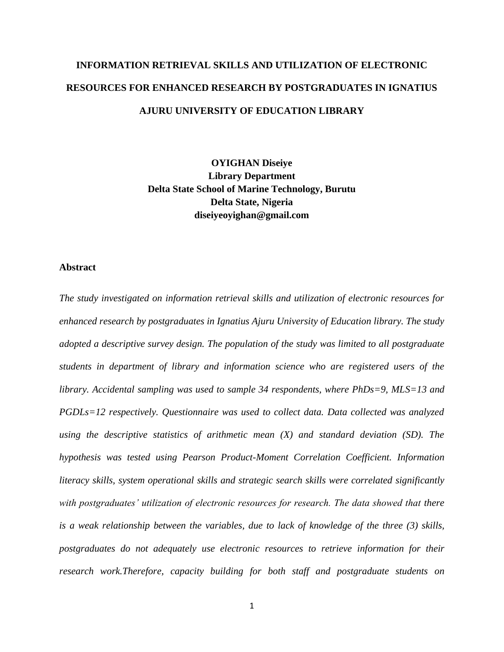# **INFORMATION RETRIEVAL SKILLS AND UTILIZATION OF ELECTRONIC RESOURCES FOR ENHANCED RESEARCH BY POSTGRADUATES IN IGNATIUS AJURU UNIVERSITY OF EDUCATION LIBRARY**

**OYIGHAN Diseiye Library Department Delta State School of Marine Technology, Burutu Delta State, Nigeria diseiyeoyighan@gmail.com**

#### **Abstract**

*The study investigated on information retrieval skills and utilization of electronic resources for enhanced research by postgraduates in Ignatius Ajuru University of Education library. The study adopted a descriptive survey design. The population of the study was limited to all postgraduate students in department of library and information science who are registered users of the library. Accidental sampling was used to sample 34 respondents, where PhDs=9, MLS=13 and PGDLs=12 respectively. Questionnaire was used to collect data. Data collected was analyzed using the descriptive statistics of arithmetic mean (X) and standard deviation (SD). The hypothesis was tested using Pearson Product-Moment Correlation Coefficient. Information literacy skills, system operational skills and strategic search skills were correlated significantly*  with postgraduates' utilization of electronic resources for research. The data showed that *there is a weak relationship between the variables, due to lack of knowledge of the three (3) skills, postgraduates do not adequately use electronic resources to retrieve information for their research work.Therefore, capacity building for both staff and postgraduate students on*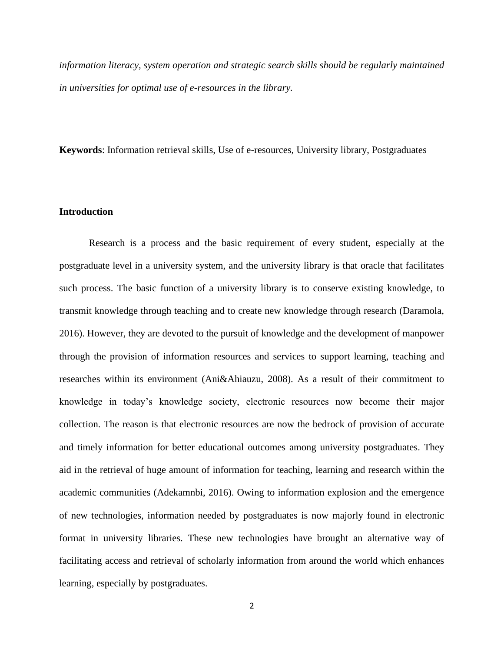*information literacy, system operation and strategic search skills should be regularly maintained in universities for optimal use of e-resources in the library.*

**Keywords**: Information retrieval skills, Use of e-resources, University library, Postgraduates

#### **Introduction**

Research is a process and the basic requirement of every student, especially at the postgraduate level in a university system, and the university library is that oracle that facilitates such process. The basic function of a university library is to conserve existing knowledge, to transmit knowledge through teaching and to create new knowledge through research (Daramola, 2016). However, they are devoted to the pursuit of knowledge and the development of manpower through the provision of information resources and services to support learning, teaching and researches within its environment (Ani&Ahiauzu, 2008). As a result of their commitment to knowledge in today's knowledge society, electronic resources now become their major collection. The reason is that electronic resources are now the bedrock of provision of accurate and timely information for better educational outcomes among university postgraduates. They aid in the retrieval of huge amount of information for teaching, learning and research within the academic communities (Adekamnbi, 2016). Owing to information explosion and the emergence of new technologies, information needed by postgraduates is now majorly found in electronic format in university libraries. These new technologies have brought an alternative way of facilitating access and retrieval of scholarly information from around the world which enhances learning, especially by postgraduates.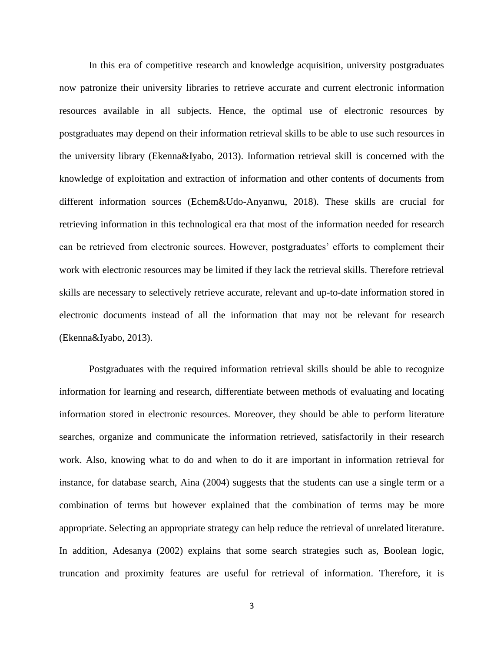In this era of competitive research and knowledge acquisition, university postgraduates now patronize their university libraries to retrieve accurate and current electronic information resources available in all subjects. Hence, the optimal use of electronic resources by postgraduates may depend on their information retrieval skills to be able to use such resources in the university library (Ekenna&Iyabo, 2013). Information retrieval skill is concerned with the knowledge of exploitation and extraction of information and other contents of documents from different information sources (Echem&Udo-Anyanwu, 2018). These skills are crucial for retrieving information in this technological era that most of the information needed for research can be retrieved from electronic sources. However, postgraduates' efforts to complement their work with electronic resources may be limited if they lack the retrieval skills. Therefore retrieval skills are necessary to selectively retrieve accurate, relevant and up-to-date information stored in electronic documents instead of all the information that may not be relevant for research (Ekenna&Iyabo, 2013).

Postgraduates with the required information retrieval skills should be able to recognize information for learning and research, differentiate between methods of evaluating and locating information stored in electronic resources. Moreover, they should be able to perform literature searches, organize and communicate the information retrieved, satisfactorily in their research work. Also, knowing what to do and when to do it are important in information retrieval for instance, for database search, Aina (2004) suggests that the students can use a single term or a combination of terms but however explained that the combination of terms may be more appropriate. Selecting an appropriate strategy can help reduce the retrieval of unrelated literature. In addition, Adesanya (2002) explains that some search strategies such as, Boolean logic, truncation and proximity features are useful for retrieval of information. Therefore, it is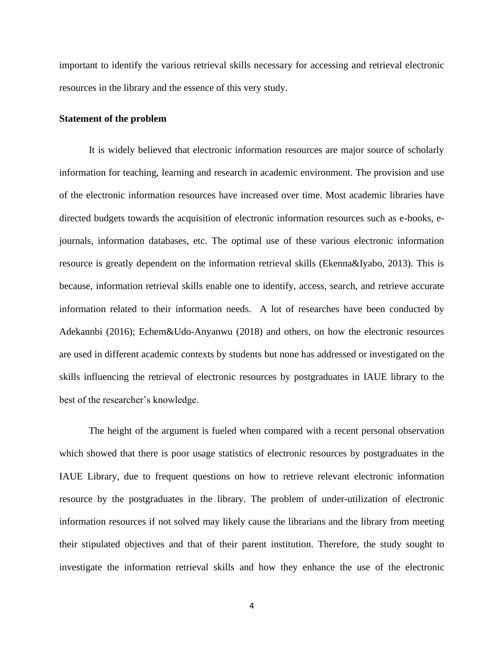important to identify the various retrieval skills necessary for accessing and retrieval electronic resources in the library and the essence of this very study.

#### **Statement of the problem**

It is widely believed that electronic information resources are major source of scholarly information for teaching, learning and research in academic environment. The provision and use of the electronic information resources have increased over time. Most academic libraries have directed budgets towards the acquisition of electronic information resources such as e-books, ejournals, information databases, etc. The optimal use of these various electronic information resource is greatly dependent on the information retrieval skills (Ekenna&Iyabo, 2013). This is because, information retrieval skills enable one to identify, access, search, and retrieve accurate information related to their information needs. A lot of researches have been conducted by Adekannbi (2016); Echem&Udo-Anyanwu (2018) and others, on how the electronic resources are used in different academic contexts by students but none has addressed or investigated on the skills influencing the retrieval of electronic resources by postgraduates in IAUE library to the best of the researcher's knowledge.

The height of the argument is fueled when compared with a recent personal observation which showed that there is poor usage statistics of electronic resources by postgraduates in the IAUE Library, due to frequent questions on how to retrieve relevant electronic information resource by the postgraduates in the library. The problem of under-utilization of electronic information resources if not solved may likely cause the librarians and the library from meeting their stipulated objectives and that of their parent institution. Therefore, the study sought to investigate the information retrieval skills and how they enhance the use of the electronic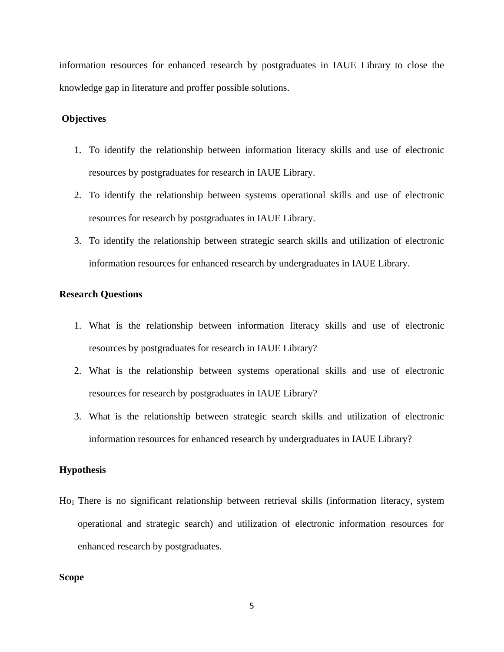information resources for enhanced research by postgraduates in IAUE Library to close the knowledge gap in literature and proffer possible solutions.

## **Objectives**

- 1. To identify the relationship between information literacy skills and use of electronic resources by postgraduates for research in IAUE Library.
- 2. To identify the relationship between systems operational skills and use of electronic resources for research by postgraduates in IAUE Library.
- 3. To identify the relationship between strategic search skills and utilization of electronic information resources for enhanced research by undergraduates in IAUE Library.

## **Research Questions**

- 1. What is the relationship between information literacy skills and use of electronic resources by postgraduates for research in IAUE Library?
- 2. What is the relationship between systems operational skills and use of electronic resources for research by postgraduates in IAUE Library?
- 3. What is the relationship between strategic search skills and utilization of electronic information resources for enhanced research by undergraduates in IAUE Library?

#### **Hypothesis**

Ho1 There is no significant relationship between retrieval skills (information literacy, system operational and strategic search) and utilization of electronic information resources for enhanced research by postgraduates.

#### **Scope**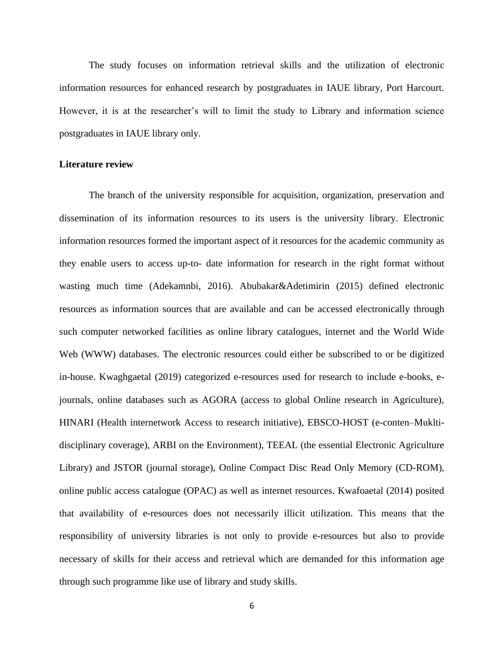The study focuses on information retrieval skills and the utilization of electronic information resources for enhanced research by postgraduates in IAUE library, Port Harcourt. However, it is at the researcher's will to limit the study to Library and information science postgraduates in IAUE library only.

#### **Literature review**

The branch of the university responsible for acquisition, organization, preservation and dissemination of its information resources to its users is the university library. Electronic information resources formed the important aspect of it resources for the academic community as they enable users to access up-to- date information for research in the right format without wasting much time (Adekamnbi, 2016). Abubakar&Adetimirin (2015) defined electronic resources as information sources that are available and can be accessed electronically through such computer networked facilities as online library catalogues, internet and the World Wide Web (WWW) databases. The electronic resources could either be subscribed to or be digitized in-house. Kwaghgaetal (2019) categorized e-resources used for research to include e-books, ejournals, online databases such as AGORA (access to global Online research in Agriculture), HINARI (Health internetwork Access to research initiative), EBSCO-HOST (e-conten–Mukltidisciplinary coverage), ARBI on the Environment), TEEAL (the essential Electronic Agriculture Library) and JSTOR (journal storage), Online Compact Disc Read Only Memory (CD-ROM), online public access catalogue (OPAC) as well as internet resources. Kwafoaetal (2014) posited that availability of e-resources does not necessarily illicit utilization. This means that the responsibility of university libraries is not only to provide e-resources but also to provide necessary of skills for their access and retrieval which are demanded for this information age through such programme like use of library and study skills.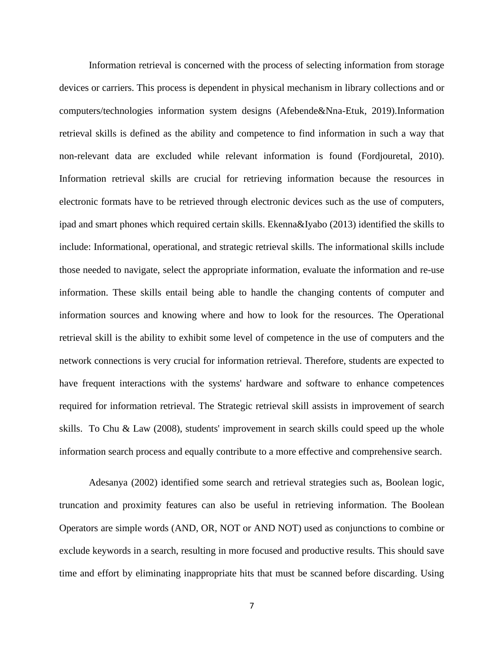Information retrieval is concerned with the process of selecting information from storage devices or carriers. This process is dependent in physical mechanism in library collections and or computers/technologies information system designs (Afebende&Nna-Etuk, 2019).Information retrieval skills is defined as the ability and competence to find information in such a way that non-relevant data are excluded while relevant information is found (Fordjouretal, 2010). Information retrieval skills are crucial for retrieving information because the resources in electronic formats have to be retrieved through electronic devices such as the use of computers, ipad and smart phones which required certain skills. Ekenna&Iyabo (2013) identified the skills to include: Informational, operational, and strategic retrieval skills. The informational skills include those needed to navigate, select the appropriate information, evaluate the information and re-use information. These skills entail being able to handle the changing contents of computer and information sources and knowing where and how to look for the resources. The Operational retrieval skill is the ability to exhibit some level of competence in the use of computers and the network connections is very crucial for information retrieval. Therefore, students are expected to have frequent interactions with the systems' hardware and software to enhance competences required for information retrieval. The Strategic retrieval skill assists in improvement of search skills. To Chu & Law (2008), students' improvement in search skills could speed up the whole information search process and equally contribute to a more effective and comprehensive search.

Adesanya (2002) identified some search and retrieval strategies such as, Boolean logic, truncation and proximity features can also be useful in retrieving information. The Boolean Operators are simple words (AND, OR, NOT or AND NOT) used as conjunctions to combine or exclude keywords in a search, resulting in more focused and productive results. This should save time and effort by eliminating inappropriate hits that must be scanned before discarding. Using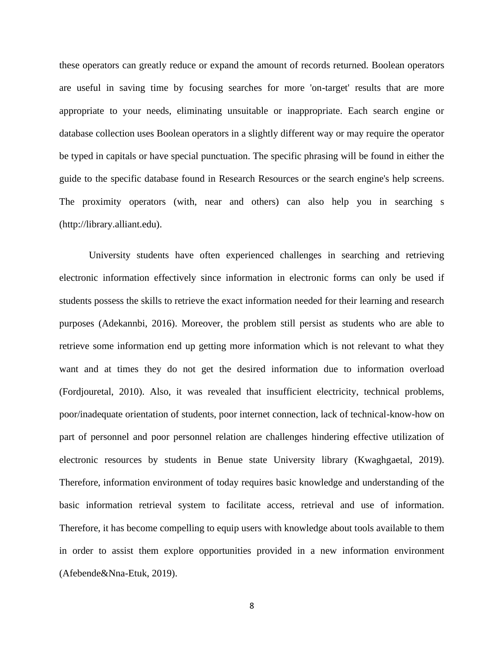these operators can greatly reduce or expand the amount of records returned. Boolean operators are useful in saving time by focusing searches for more 'on-target' results that are more appropriate to your needs, eliminating unsuitable or inappropriate. Each search engine or database collection uses Boolean operators in a slightly different way or may require the operator be typed in capitals or have special punctuation. The specific phrasing will be found in either the guide to the specific database found in Research Resources or the search engine's help screens. The proximity operators (with, near and others) can also help you in searching s (http://library.alliant.edu).

University students have often experienced challenges in searching and retrieving electronic information effectively since information in electronic forms can only be used if students possess the skills to retrieve the exact information needed for their learning and research purposes (Adekannbi, 2016). Moreover, the problem still persist as students who are able to retrieve some information end up getting more information which is not relevant to what they want and at times they do not get the desired information due to information overload (Fordjouretal, 2010). Also, it was revealed that insufficient electricity, technical problems, poor/inadequate orientation of students, poor internet connection, lack of technical-know-how on part of personnel and poor personnel relation are challenges hindering effective utilization of electronic resources by students in Benue state University library (Kwaghgaetal, 2019). Therefore, information environment of today requires basic knowledge and understanding of the basic information retrieval system to facilitate access, retrieval and use of information. Therefore, it has become compelling to equip users with knowledge about tools available to them in order to assist them explore opportunities provided in a new information environment (Afebende&Nna-Etuk, 2019).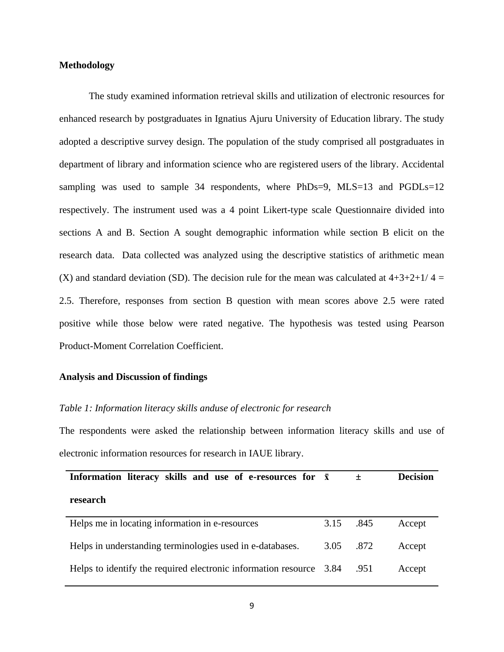#### **Methodology**

The study examined information retrieval skills and utilization of electronic resources for enhanced research by postgraduates in Ignatius Ajuru University of Education library. The study adopted a descriptive survey design. The population of the study comprised all postgraduates in department of library and information science who are registered users of the library. Accidental sampling was used to sample 34 respondents, where PhDs=9, MLS=13 and PGDLs=12 respectively. The instrument used was a 4 point Likert-type scale Questionnaire divided into sections A and B. Section A sought demographic information while section B elicit on the research data. Data collected was analyzed using the descriptive statistics of arithmetic mean (X) and standard deviation (SD). The decision rule for the mean was calculated at  $4+3+2+1/4 =$ 2.5. Therefore, responses from section B question with mean scores above 2.5 were rated positive while those below were rated negative. The hypothesis was tested using Pearson Product-Moment Correlation Coefficient.

#### **Analysis and Discussion of findings**

#### *Table 1: Information literacy skills anduse of electronic for research*

The respondents were asked the relationship between information literacy skills and use of electronic information resources for research in IAUE library.

| Information literacy skills and use of e-resources for $\bar{x}$    |           | 土    | <b>Decision</b> |
|---------------------------------------------------------------------|-----------|------|-----------------|
| research                                                            |           |      |                 |
| Helps me in locating information in e-resources                     | 3.15      | .845 | Accept          |
| Helps in understanding terminologies used in e-databases.           | 3.05 .872 |      | Accept          |
| Helps to identify the required electronic information resource 3.84 |           | .951 | Accept          |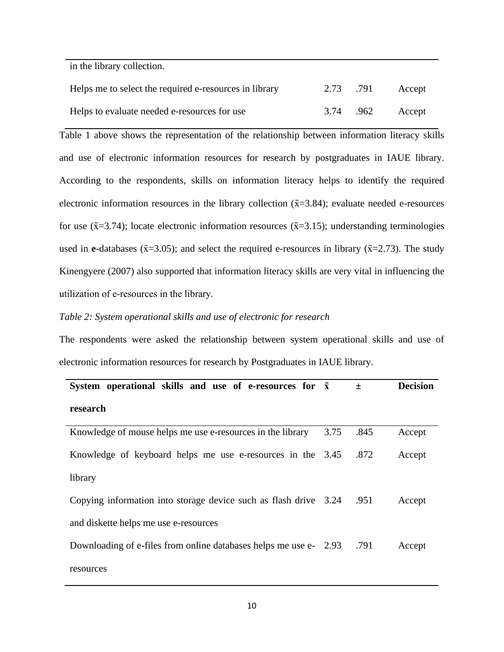in the library collection.

| Helps me to select the required e-resources in library | 2.73 .791 | Accept |
|--------------------------------------------------------|-----------|--------|
| Helps to evaluate needed e-resources for use           | 3.74 .962 | Accept |

Table 1 above shows the representation of the relationship between information literacy skills and use of electronic information resources for research by postgraduates in IAUE library. According to the respondents, skills on information literacy helps to identify the required electronic information resources in the library collection  $(\bar{x}=3.84)$ ; evaluate needed e-resources for use ( $\bar{x}$ =3.74); locate electronic information resources ( $\bar{x}$ =3.15); understanding terminologies used in **e-**databases ( $\bar{x}$ =3.05); and select the required e-resources in library ( $\bar{x}$ =2.73). The study [Kinengyere](https://www.researchgate.net/profile/Alison-Kinengyere) (2007) also supported that information literacy skills are very vital in influencing the utilization of e‐resources in the library.

#### *Table 2: System operational skills and use of electronic for research*

The respondents were asked the relationship between system operational skills and use of electronic information resources for research by Postgraduates in IAUE library.

| System operational skills and use of e-resources for $\bar{x}$         |      | $\pm$ | <b>Decision</b> |
|------------------------------------------------------------------------|------|-------|-----------------|
| research                                                               |      |       |                 |
| Knowledge of mouse helps me use e-resources in the library             | 3.75 | .845  | Accept          |
| Knowledge of keyboard helps me use e-resources in the 3.45             |      | .872  | Accept          |
| library                                                                |      |       |                 |
| Opying information into storage device such as flash drive 3.24 .951   |      |       | Accept          |
| and diskette helps me use e-resources                                  |      |       |                 |
| Downloading of e-files from online databases helps me use e- 2.93 .791 |      |       | Accept          |
| resources                                                              |      |       |                 |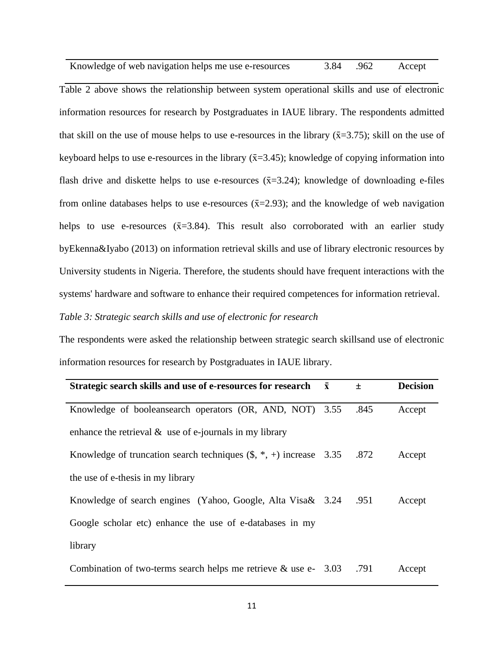| Knowledge of web navigation helps me use e-resources | 3.84 .962 | Accept |
|------------------------------------------------------|-----------|--------|
|                                                      |           |        |

Table 2 above shows the relationship between system operational skills and use of electronic information resources for research by Postgraduates in IAUE library. The respondents admitted that skill on the use of mouse helps to use e-resources in the library  $(\bar{x}=3.75)$ ; skill on the use of keyboard helps to use e-resources in the library  $(\bar{x}=3.45)$ ; knowledge of copying information into flash drive and diskette helps to use e-resources  $(\bar{x}=3.24)$ ; knowledge of downloading e-files from online databases helps to use e-resources  $(\bar{x}=2.93)$ ; and the knowledge of web navigation helps to use e-resources  $(\bar{x}=3.84)$ . This result also corroborated with an earlier study byEkenna&Iyabo (2013) on information retrieval skills and use of library electronic resources by University students in Nigeria. Therefore, the students should have frequent interactions with the systems' hardware and software to enhance their required competences for information retrieval. *Table 3: Strategic search skills and use of electronic for research* 

The respondents were asked the relationship between strategic search skillsand use of electronic information resources for research by Postgraduates in IAUE library.

| Strategic search skills and use of e-resources for research $\bar{x}$     | $\pm$ | <b>Decision</b> |
|---------------------------------------------------------------------------|-------|-----------------|
| Knowledge of booleansearch operators (OR, AND, NOT) 3.55                  | .845  | Accept          |
| enhance the retrieval $\&$ use of e-journals in my library                |       |                 |
| Knowledge of truncation search techniques $(\$, *, +)$ increase 3.35 .872 |       | Accept          |
| the use of e-thesis in my library                                         |       |                 |
| Knowledge of search engines (Yahoo, Google, Alta Visa& 3.24 .951          |       | Accept          |
| Google scholar etc) enhance the use of e-databases in my                  |       |                 |
| library                                                                   |       |                 |
| Combination of two-terms search helps me retrieve & use e- $3.03$ .791    |       | Accept          |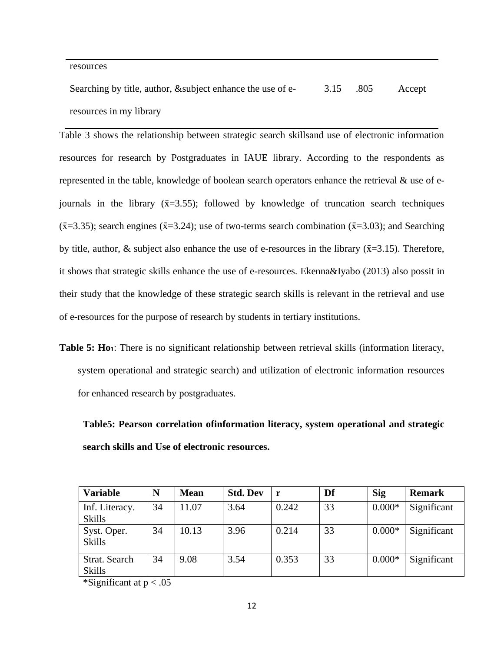#### resources

Searching by title, author, &subject enhance the use of eresources in my library 3.15 .805 Accept

Table 3 shows the relationship between strategic search skillsand use of electronic information resources for research by Postgraduates in IAUE library. According to the respondents as represented in the table, knowledge of boolean search operators enhance the retrieval & use of ejournals in the library  $(\bar{x}=3.55)$ ; followed by knowledge of truncation search techniques  $(\bar{x}=3.35)$ ; search engines ( $\bar{x}=3.24$ ); use of two-terms search combination ( $\bar{x}=3.03$ ); and Searching by title, author, & subject also enhance the use of e-resources in the library ( $\bar{x}$ =3.15). Therefore, it shows that strategic skills enhance the use of e-resources. Ekenna&Iyabo (2013) also possit in their study that the knowledge of these strategic search skills is relevant in the retrieval and use of e-resources for the purpose of research by students in tertiary institutions.

**Table 5: Ho1**: There is no significant relationship between retrieval skills (information literacy, system operational and strategic search) and utilization of electronic information resources for enhanced research by postgraduates.

**Table5: Pearson correlation ofinformation literacy, system operational and strategic search skills and Use of electronic resources.**

| <b>Variable</b>                 | N  | <b>Mean</b> | <b>Std. Dev</b> | <b>r</b> | Df | <b>Sig</b> | <b>Remark</b> |
|---------------------------------|----|-------------|-----------------|----------|----|------------|---------------|
| Inf. Literacy.<br><b>Skills</b> | 34 | 11.07       | 3.64            | 0.242    | 33 | $0.000*$   | Significant   |
| Syst. Oper.<br><b>Skills</b>    | 34 | 10.13       | 3.96            | 0.214    | 33 | $0.000*$   | Significant   |
| Strat. Search<br><b>Skills</b>  | 34 | 9.08        | 3.54            | 0.353    | 33 | $0.000*$   | Significant   |

\*Significant at  $p < .05$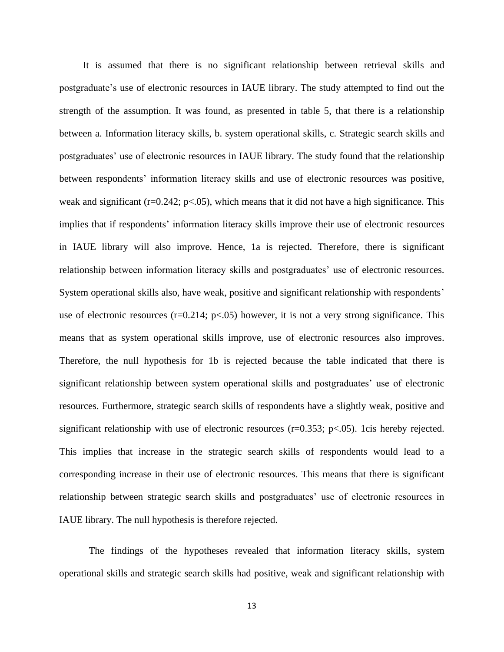It is assumed that there is no significant relationship between retrieval skills and postgraduate's use of electronic resources in IAUE library. The study attempted to find out the strength of the assumption. It was found, as presented in table 5, that there is a relationship between a. Information literacy skills, b. system operational skills, c. Strategic search skills and postgraduates' use of electronic resources in IAUE library. The study found that the relationship between respondents' information literacy skills and use of electronic resources was positive, weak and significant ( $r=0.242$ ;  $p<.05$ ), which means that it did not have a high significance. This implies that if respondents' information literacy skills improve their use of electronic resources in IAUE library will also improve. Hence, 1a is rejected. Therefore, there is significant relationship between information literacy skills and postgraduates' use of electronic resources. System operational skills also, have weak, positive and significant relationship with respondents' use of electronic resources (r=0.214; p<.05) however, it is not a very strong significance. This means that as system operational skills improve, use of electronic resources also improves. Therefore, the null hypothesis for 1b is rejected because the table indicated that there is significant relationship between system operational skills and postgraduates' use of electronic resources. Furthermore, strategic search skills of respondents have a slightly weak, positive and significant relationship with use of electronic resources ( $r=0.353$ ;  $p<.05$ ). 1cis hereby rejected. This implies that increase in the strategic search skills of respondents would lead to a corresponding increase in their use of electronic resources. This means that there is significant relationship between strategic search skills and postgraduates' use of electronic resources in IAUE library. The null hypothesis is therefore rejected.

The findings of the hypotheses revealed that information literacy skills, system operational skills and strategic search skills had positive, weak and significant relationship with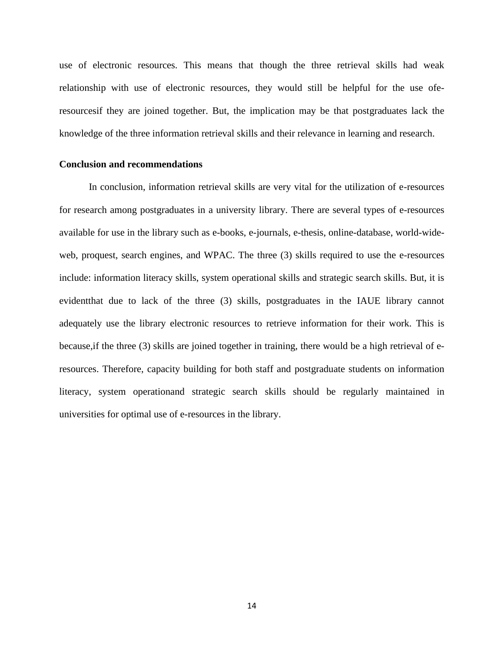use of electronic resources. This means that though the three retrieval skills had weak relationship with use of electronic resources, they would still be helpful for the use oferesourcesif they are joined together. But, the implication may be that postgraduates lack the knowledge of the three information retrieval skills and their relevance in learning and research.

#### **Conclusion and recommendations**

In conclusion, information retrieval skills are very vital for the utilization of e-resources for research among postgraduates in a university library. There are several types of e-resources available for use in the library such as e-books, e-journals, e-thesis, online-database, world-wideweb, proquest, search engines, and WPAC. The three (3) skills required to use the e-resources include: information literacy skills, system operational skills and strategic search skills. But, it is evidentthat due to lack of the three (3) skills, postgraduates in the IAUE library cannot adequately use the library electronic resources to retrieve information for their work. This is because,if the three (3) skills are joined together in training, there would be a high retrieval of eresources. Therefore, capacity building for both staff and postgraduate students on information literacy, system operationand strategic search skills should be regularly maintained in universities for optimal use of e-resources in the library.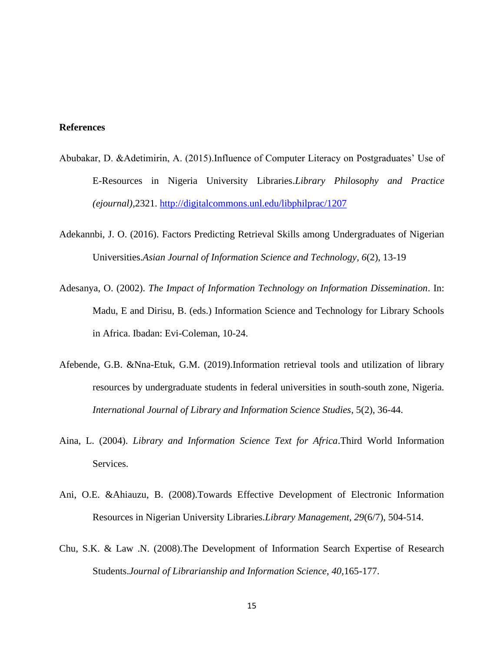## **References**

- Abubakar, D. &Adetimirin, A. (2015).Influence of Computer Literacy on Postgraduates' Use of E-Resources in Nigeria University Libraries.*Library Philosophy and Practice (ejournal),*2321.<http://digitalcommons.unl.edu/libphilprac/1207>
- Adekannbi, J. O. (2016). Factors Predicting Retrieval Skills among Undergraduates of Nigerian Universities.*Asian Journal of Information Science and Technology, 6*(2), 13-19
- Adesanya, O. (2002). *The Impact of Information Technology on Information Dissemination*. In: Madu, E and Dirisu, B. (eds.) Information Science and Technology for Library Schools in Africa. Ibadan: Evi-Coleman, 10-24.
- Afebende, G.B. &Nna-Etuk, G.M. (2019).Information retrieval tools and utilization of library resources by undergraduate students in federal universities in south-south zone, Nigeria*. International Journal of Library and Information Science Studies*, 5(2), 36-44.
- Aina, L. (2004). *Library and Information Science Text for Africa*.Third World Information Services.
- Ani, O.E. &Ahiauzu, B. (2008).Towards Effective Development of Electronic Information Resources in Nigerian University Libraries.*Library Management, 29*(6/7), 504-514.
- Chu, S.K. & Law .N. (2008).The Development of Information Search Expertise of Research Students.*Journal of Librarianship and Information Science, 40,*165-177.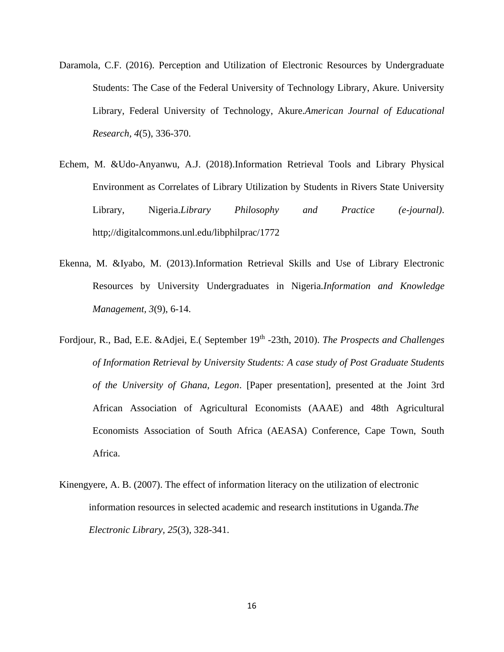- Daramola, C.F. (2016). Perception and Utilization of Electronic Resources by Undergraduate Students: The Case of the Federal University of Technology Library, Akure. University Library, Federal University of Technology, Akure.*American Journal of Educational Research, 4*(5), 336-370.
- Echem, M. &Udo-Anyanwu, A.J. (2018).Information Retrieval Tools and Library Physical Environment as Correlates of Library Utilization by Students in Rivers State University Library, Nigeria.*Library Philosophy and Practice (e-journal)*. http;//digitalcommons.unl.edu/libphilprac/1772
- Ekenna, M. &Iyabo, M. (2013).Information Retrieval Skills and Use of Library Electronic Resources by University Undergraduates in Nigeria.*Information and Knowledge Management, 3*(9), 6-14.
- Fordjour, R., Bad, E.E. &Adjei, E.( September 19<sup>th</sup> -23th, 2010). *The Prospects and Challenges of Information Retrieval by University Students: A case study of Post Graduate Students of the University of Ghana, Legon*. [Paper presentation], presented at the Joint 3rd African Association of Agricultural Economists (AAAE) and 48th Agricultural Economists Association of South Africa (AEASA) Conference, Cape Town, South Africa.
- [Kinengyere,](https://www.researchgate.net/profile/Alison-Kinengyere) A. B. (2007). The effect of information literacy on the utilization of electronic information resources in selected academic and research institutions in Uganda.*[The](https://www.researchgate.net/journal/The-Electronic-Library-0264-0473) [Electronic](https://www.researchgate.net/journal/The-Electronic-Library-0264-0473) Library, 25*(3), 328-341.